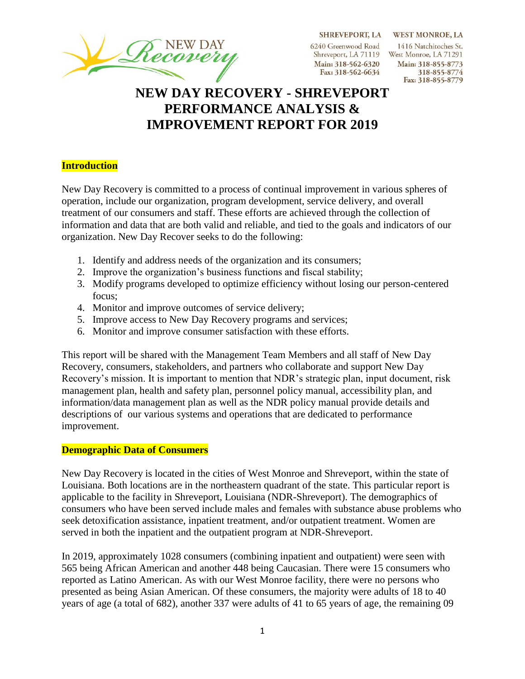SHREVEPORT, LA WEST MONROE, LA

6240 Greenwood Road Main: 318-562-6320 Fax: 318-562-6634

1416 Natchitoches St. Shreveport, LA 71119 West Monroe, LA 71291 Main: 318-855-8773 318-855-8774 Fax: 318-855-8779

# **NEW DAY RECOVERY - SHREVEPORT PERFORMANCE ANALYSIS & IMPROVEMENT REPORT FOR 2019**

#### **Introduction**

New Day Recovery is committed to a process of continual improvement in various spheres of operation, include our organization, program development, service delivery, and overall treatment of our consumers and staff. These efforts are achieved through the collection of information and data that are both valid and reliable, and tied to the goals and indicators of our organization. New Day Recover seeks to do the following:

- 1. Identify and address needs of the organization and its consumers;
- 2. Improve the organization's business functions and fiscal stability;
- 3. Modify programs developed to optimize efficiency without losing our person-centered focus;
- 4. Monitor and improve outcomes of service delivery;
- 5. Improve access to New Day Recovery programs and services;
- 6. Monitor and improve consumer satisfaction with these efforts.

This report will be shared with the Management Team Members and all staff of New Day Recovery, consumers, stakeholders, and partners who collaborate and support New Day Recovery's mission. It is important to mention that NDR's strategic plan, input document, risk management plan, health and safety plan, personnel policy manual, accessibility plan, and information/data management plan as well as the NDR policy manual provide details and descriptions of our various systems and operations that are dedicated to performance improvement.

#### **Demographic Data of Consumers**

New Day Recovery is located in the cities of West Monroe and Shreveport, within the state of Louisiana. Both locations are in the northeastern quadrant of the state. This particular report is applicable to the facility in Shreveport, Louisiana (NDR-Shreveport). The demographics of consumers who have been served include males and females with substance abuse problems who seek detoxification assistance, inpatient treatment, and/or outpatient treatment. Women are served in both the inpatient and the outpatient program at NDR-Shreveport.

In 2019, approximately 1028 consumers (combining inpatient and outpatient) were seen with 565 being African American and another 448 being Caucasian. There were 15 consumers who reported as Latino American. As with our West Monroe facility, there were no persons who presented as being Asian American. Of these consumers, the majority were adults of 18 to 40 years of age (a total of 682), another 337 were adults of 41 to 65 years of age, the remaining 09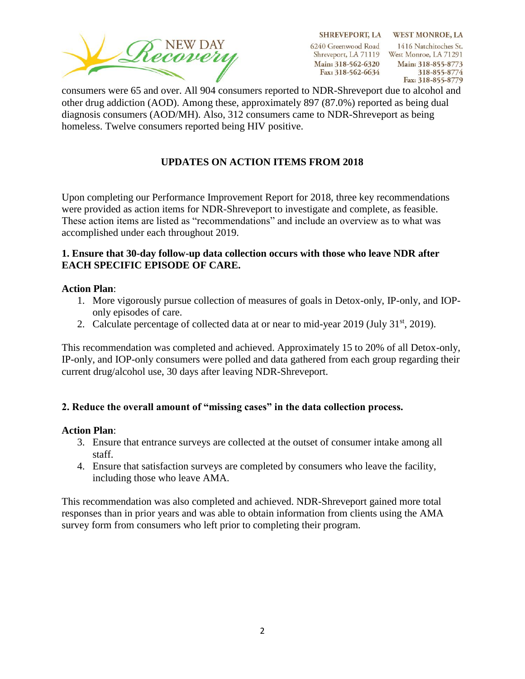

SHREVEPORT, LA WEST MONROE, LA 1416 Natchitoches St. Shreveport, LA 71119 West Monroe, LA 71291 Main: 318-855-8773 318-855-8774 Fax: 318-855-8779

consumers were 65 and over. All 904 consumers reported to NDR-Shreveport due to alcohol and other drug addiction (AOD). Among these, approximately 897 (87.0%) reported as being dual diagnosis consumers (AOD/MH). Also, 312 consumers came to NDR-Shreveport as being homeless. Twelve consumers reported being HIV positive.

# **UPDATES ON ACTION ITEMS FROM 2018**

Upon completing our Performance Improvement Report for 2018, three key recommendations were provided as action items for NDR-Shreveport to investigate and complete, as feasible. These action items are listed as "recommendations" and include an overview as to what was accomplished under each throughout 2019.

### **1. Ensure that 30-day follow-up data collection occurs with those who leave NDR after EACH SPECIFIC EPISODE OF CARE.**

#### **Action Plan**:

- 1. More vigorously pursue collection of measures of goals in Detox-only, IP-only, and IOPonly episodes of care.
- 2. Calculate percentage of collected data at or near to mid-year 2019 (July 31<sup>st</sup>, 2019).

This recommendation was completed and achieved. Approximately 15 to 20% of all Detox-only, IP-only, and IOP-only consumers were polled and data gathered from each group regarding their current drug/alcohol use, 30 days after leaving NDR-Shreveport.

# **2. Reduce the overall amount of "missing cases" in the data collection process.**

#### **Action Plan**:

- 3. Ensure that entrance surveys are collected at the outset of consumer intake among all staff.
- 4. Ensure that satisfaction surveys are completed by consumers who leave the facility, including those who leave AMA.

This recommendation was also completed and achieved. NDR-Shreveport gained more total responses than in prior years and was able to obtain information from clients using the AMA survey form from consumers who left prior to completing their program.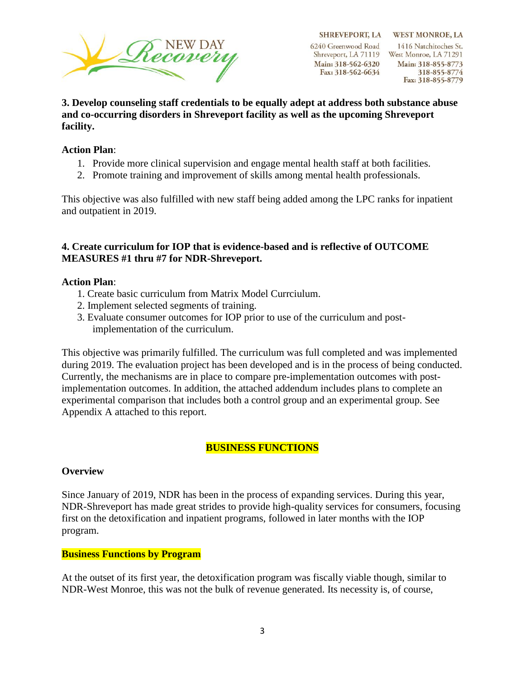

SHREVEPORT, LA WEST MONROE, LA 1416 Natchitoches St. Shreveport, LA 71119 West Monroe, LA 71291 Main: 318-855-8773 318-855-8774 Fax: 318-855-8779

**3. Develop counseling staff credentials to be equally adept at address both substance abuse and co-occurring disorders in Shreveport facility as well as the upcoming Shreveport facility.** 

### **Action Plan**:

- 1. Provide more clinical supervision and engage mental health staff at both facilities.
- 2. Promote training and improvement of skills among mental health professionals.

This objective was also fulfilled with new staff being added among the LPC ranks for inpatient and outpatient in 2019.

#### **4. Create curriculum for IOP that is evidence-based and is reflective of OUTCOME MEASURES #1 thru #7 for NDR-Shreveport.**

#### **Action Plan**:

- 1. Create basic curriculum from Matrix Model Currciulum.
- 2. Implement selected segments of training.
- 3. Evaluate consumer outcomes for IOP prior to use of the curriculum and postimplementation of the curriculum.

This objective was primarily fulfilled. The curriculum was full completed and was implemented during 2019. The evaluation project has been developed and is in the process of being conducted. Currently, the mechanisms are in place to compare pre-implementation outcomes with postimplementation outcomes. In addition, the attached addendum includes plans to complete an experimental comparison that includes both a control group and an experimental group. See Appendix A attached to this report.

# **BUSINESS FUNCTIONS**

#### **Overview**

Since January of 2019, NDR has been in the process of expanding services. During this year, NDR-Shreveport has made great strides to provide high-quality services for consumers, focusing first on the detoxification and inpatient programs, followed in later months with the IOP program.

#### **Business Functions by Program**

At the outset of its first year, the detoxification program was fiscally viable though, similar to NDR-West Monroe, this was not the bulk of revenue generated. Its necessity is, of course,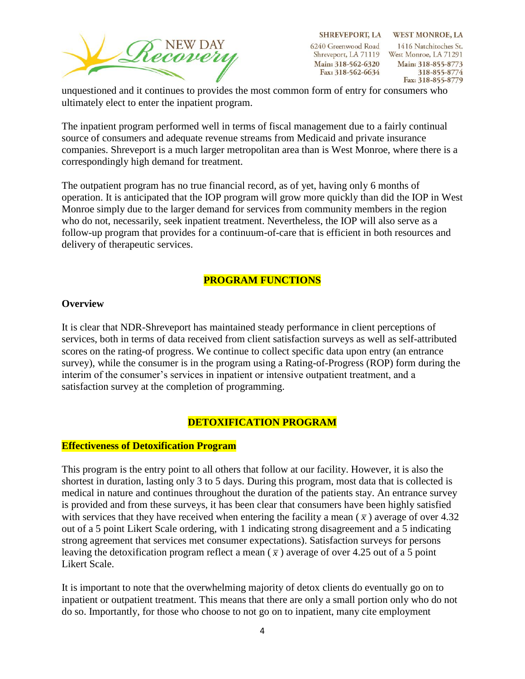

SHREVEPORT, LA WEST MONROE, LA 1416 Natchitoches St. Shreveport, LA 71119 West Monroe, LA 71291 Main: 318-855-8773 318-855-8774 Fax: 318-855-8779

unquestioned and it continues to provides the most common form of entry for consumers who ultimately elect to enter the inpatient program.

The inpatient program performed well in terms of fiscal management due to a fairly continual source of consumers and adequate revenue streams from Medicaid and private insurance companies. Shreveport is a much larger metropolitan area than is West Monroe, where there is a correspondingly high demand for treatment.

The outpatient program has no true financial record, as of yet, having only 6 months of operation. It is anticipated that the IOP program will grow more quickly than did the IOP in West Monroe simply due to the larger demand for services from community members in the region who do not, necessarily, seek inpatient treatment. Nevertheless, the IOP will also serve as a follow-up program that provides for a continuum-of-care that is efficient in both resources and delivery of therapeutic services.

# **PROGRAM FUNCTIONS**

#### **Overview**

It is clear that NDR-Shreveport has maintained steady performance in client perceptions of services, both in terms of data received from client satisfaction surveys as well as self-attributed scores on the rating-of progress. We continue to collect specific data upon entry (an entrance survey), while the consumer is in the program using a Rating-of-Progress (ROP) form during the interim of the consumer's services in inpatient or intensive outpatient treatment, and a satisfaction survey at the completion of programming.

# **DETOXIFICATION PROGRAM**

#### **Effectiveness of Detoxification Program**

This program is the entry point to all others that follow at our facility. However, it is also the shortest in duration, lasting only 3 to 5 days. During this program, most data that is collected is medical in nature and continues throughout the duration of the patients stay. An entrance survey is provided and from these surveys, it has been clear that consumers have been highly satisfied with services that they have received when entering the facility a mean  $(\bar{x})$  average of over 4.32 out of a 5 point Likert Scale ordering, with 1 indicating strong disagreement and a 5 indicating strong agreement that services met consumer expectations). Satisfaction surveys for persons leaving the detoxification program reflect a mean  $(\bar{x})$  average of over 4.25 out of a 5 point Likert Scale.

It is important to note that the overwhelming majority of detox clients do eventually go on to inpatient or outpatient treatment. This means that there are only a small portion only who do not do so. Importantly, for those who choose to not go on to inpatient, many cite employment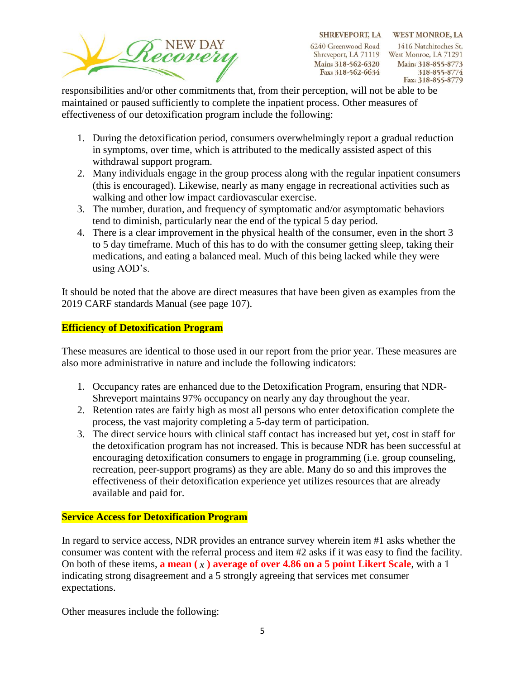

SHREVEPORT, LA WEST MONROE, LA 1416 Natchitoches St. Shreveport, LA 71119 West Monroe, LA 71291 Main: 318-855-8773 318-855-8774 Fax: 318-855-8779

responsibilities and/or other commitments that, from their perception, will not be able to be maintained or paused sufficiently to complete the inpatient process. Other measures of effectiveness of our detoxification program include the following:

- 1. During the detoxification period, consumers overwhelmingly report a gradual reduction in symptoms, over time, which is attributed to the medically assisted aspect of this withdrawal support program.
- 2. Many individuals engage in the group process along with the regular inpatient consumers (this is encouraged). Likewise, nearly as many engage in recreational activities such as walking and other low impact cardiovascular exercise.
- 3. The number, duration, and frequency of symptomatic and/or asymptomatic behaviors tend to diminish, particularly near the end of the typical 5 day period.
- 4. There is a clear improvement in the physical health of the consumer, even in the short 3 to 5 day timeframe. Much of this has to do with the consumer getting sleep, taking their medications, and eating a balanced meal. Much of this being lacked while they were using AOD's.

It should be noted that the above are direct measures that have been given as examples from the 2019 CARF standards Manual (see page 107).

# **Efficiency of Detoxification Program**

These measures are identical to those used in our report from the prior year. These measures are also more administrative in nature and include the following indicators:

- 1. Occupancy rates are enhanced due to the Detoxification Program, ensuring that NDR-Shreveport maintains 97% occupancy on nearly any day throughout the year.
- 2. Retention rates are fairly high as most all persons who enter detoxification complete the process, the vast majority completing a 5-day term of participation.
- 3. The direct service hours with clinical staff contact has increased but yet, cost in staff for the detoxification program has not increased. This is because NDR has been successful at encouraging detoxification consumers to engage in programming (i.e. group counseling, recreation, peer-support programs) as they are able. Many do so and this improves the effectiveness of their detoxification experience yet utilizes resources that are already available and paid for.

# **Service Access for Detoxification Program**

In regard to service access, NDR provides an entrance survey wherein item #1 asks whether the consumer was content with the referral process and item #2 asks if it was easy to find the facility. On both of these items, **a mean**  $(\bar{x})$  **average of over 4.86 on a 5 point Likert Scale**, with a 1 indicating strong disagreement and a 5 strongly agreeing that services met consumer expectations.

Other measures include the following: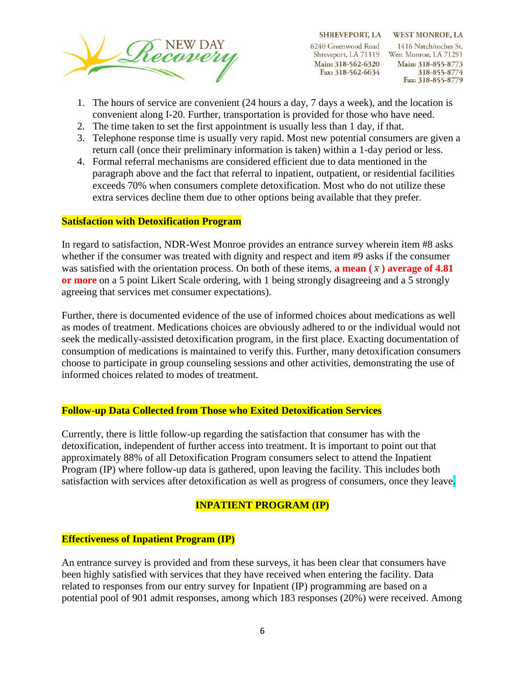

SHREVEPORT, LA WEST MONROE, LA 1416 Natchitoches St. Shreveport, LA 71119 West Monroe, LA 71291 Main: 318-855-8773 318-855-8774 Fax: 318-855-8779

- 1. The hours of service are convenient (24 hours a day, 7 days a week), and the location is convenient along I-20. Further, transportation is provided for those who have need.
- 2. The time taken to set the first appointment is usually less than 1 day, if that.
- 3. Telephone response time is usually very rapid. Most new potential consumers are given a return call (once their preliminary information is taken) within a 1-day period or less.
- 4. Formal referral mechanisms are considered efficient due to data mentioned in the paragraph above and the fact that referral to inpatient, outpatient, or residential facilities exceeds 70% when consumers complete detoxification. Most who do not utilize these extra services decline them due to other options being available that they prefer.

# **Satisfaction with Detoxification Program**

In regard to satisfaction, NDR-West Monroe provides an entrance survey wherein item #8 asks whether if the consumer was treated with dignity and respect and item #9 asks if the consumer was satisfied with the orientation process. On both of these items, **a mean**  $(\bar{x})$  **average of 4.81 or more** on a 5 point Likert Scale ordering, with 1 being strongly disagreeing and a 5 strongly agreeing that services met consumer expectations).

Further, there is documented evidence of the use of informed choices about medications as well as modes of treatment. Medications choices are obviously adhered to or the individual would not seek the medically-assisted detoxification program, in the first place. Exacting documentation of consumption of medications is maintained to verify this. Further, many detoxification consumers choose to participate in group counseling sessions and other activities, demonstrating the use of informed choices related to modes of treatment.

#### **Follow-up Data Collected from Those who Exited Detoxification Services**

Currently, there is little follow-up regarding the satisfaction that consumer has with the detoxification, independent of further access into treatment. It is important to point out that approximately 88% of all Detoxification Program consumers select to attend the Inpatient Program (IP) where follow-up data is gathered, upon leaving the facility. This includes both satisfaction with services after detoxification as well as progress of consumers, once they leave.

#### **INPATIENT PROGRAM (IP)**

#### **Effectiveness of Inpatient Program (IP)**

An entrance survey is provided and from these surveys, it has been clear that consumers have been highly satisfied with services that they have received when entering the facility. Data related to responses from our entry survey for Inpatient (IP) programming are based on a potential pool of 901 admit responses, among which 183 responses (20%) were received. Among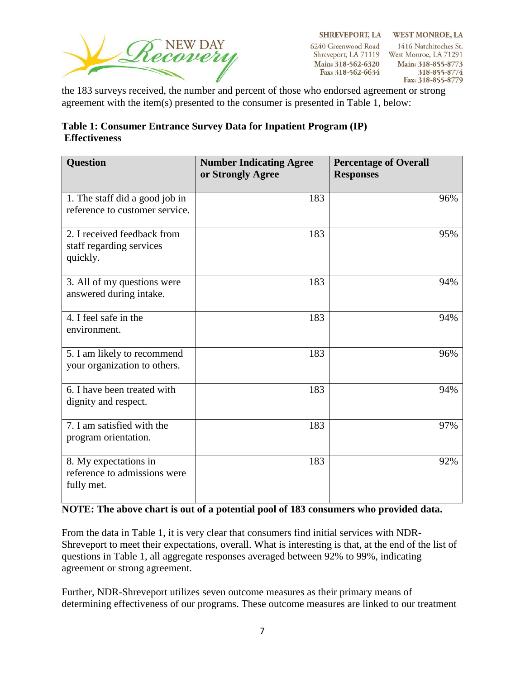

6240 Greenwood Road Shreveport, LA 71119 West Monroe, LA 71291 Main: 318-562-6320 Fax: 318-562-6634

SHREVEPORT, LA WEST MONROE, LA 1416 Natchitoches St. Main: 318-855-8773 318-855-8774 Fax: 318-855-8779

the 183 surveys received, the number and percent of those who endorsed agreement or strong agreement with the item(s) presented to the consumer is presented in Table 1, below:

| Table 1: Consumer Entrance Survey Data for Inpatient Program (IP) |  |
|-------------------------------------------------------------------|--|
| <b>Effectiveness</b>                                              |  |

| <b>Question</b>                                                     | <b>Number Indicating Agree</b><br>or Strongly Agree | <b>Percentage of Overall</b><br><b>Responses</b> |
|---------------------------------------------------------------------|-----------------------------------------------------|--------------------------------------------------|
| 1. The staff did a good job in<br>reference to customer service.    | 183                                                 | 96%                                              |
| 2. I received feedback from<br>staff regarding services<br>quickly. | 183                                                 | 95%                                              |
| 3. All of my questions were<br>answered during intake.              | 183                                                 | 94%                                              |
| 4. I feel safe in the<br>environment.                               | 183                                                 | 94%                                              |
| 5. I am likely to recommend<br>your organization to others.         | 183                                                 | 96%                                              |
| 6. I have been treated with<br>dignity and respect.                 | 183                                                 | 94%                                              |
| 7. I am satisfied with the<br>program orientation.                  | 183                                                 | 97%                                              |
| 8. My expectations in<br>reference to admissions were<br>fully met. | 183                                                 | 92%                                              |

# **NOTE: The above chart is out of a potential pool of 183 consumers who provided data.**

From the data in Table 1, it is very clear that consumers find initial services with NDR-Shreveport to meet their expectations, overall. What is interesting is that, at the end of the list of questions in Table 1, all aggregate responses averaged between 92% to 99%, indicating agreement or strong agreement.

Further, NDR-Shreveport utilizes seven outcome measures as their primary means of determining effectiveness of our programs. These outcome measures are linked to our treatment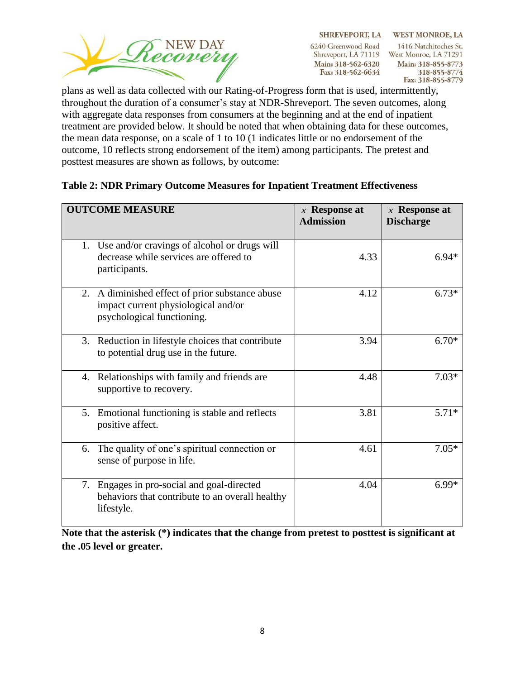

SHREVEPORT, LA WEST MONROE, LA 1416 Natchitoches St. Shreveport, LA 71119 West Monroe, LA 71291 Main: 318-855-8773 318-855-8774 Fax: 318-855-8779

plans as well as data collected with our Rating-of-Progress form that is used, intermittently, throughout the duration of a consumer's stay at NDR-Shreveport. The seven outcomes, along with aggregate data responses from consumers at the beginning and at the end of inpatient treatment are provided below. It should be noted that when obtaining data for these outcomes, the mean data response, on a scale of 1 to 10 (1 indicates little or no endorsement of the outcome, 10 reflects strong endorsement of the item) among participants. The pretest and posttest measures are shown as follows, by outcome:

| <b>OUTCOME MEASURE</b>                                                                                               | $\bar{x}$ Response at<br><b>Admission</b> | $\bar{x}$ Response at<br><b>Discharge</b> |
|----------------------------------------------------------------------------------------------------------------------|-------------------------------------------|-------------------------------------------|
| 1. Use and/or cravings of alcohol or drugs will<br>decrease while services are offered to<br>participants.           | 4.33                                      | $6.94*$                                   |
| 2. A diminished effect of prior substance abuse<br>impact current physiological and/or<br>psychological functioning. | 4.12                                      | $6.73*$                                   |
| 3. Reduction in lifestyle choices that contribute<br>to potential drug use in the future.                            | 3.94                                      | $6.70*$                                   |
| Relationships with family and friends are<br>4.<br>supportive to recovery.                                           | 4.48                                      | $7.03*$                                   |
| 5. Emotional functioning is stable and reflects<br>positive affect.                                                  | 3.81                                      | $5.71*$                                   |
| The quality of one's spiritual connection or<br>6.<br>sense of purpose in life.                                      | 4.61                                      | $7.05*$                                   |
| Engages in pro-social and goal-directed<br>7.<br>behaviors that contribute to an overall healthy<br>lifestyle.       | 4.04                                      | $6.99*$                                   |

# **Table 2: NDR Primary Outcome Measures for Inpatient Treatment Effectiveness**

**Note that the asterisk (\*) indicates that the change from pretest to posttest is significant at the .05 level or greater.**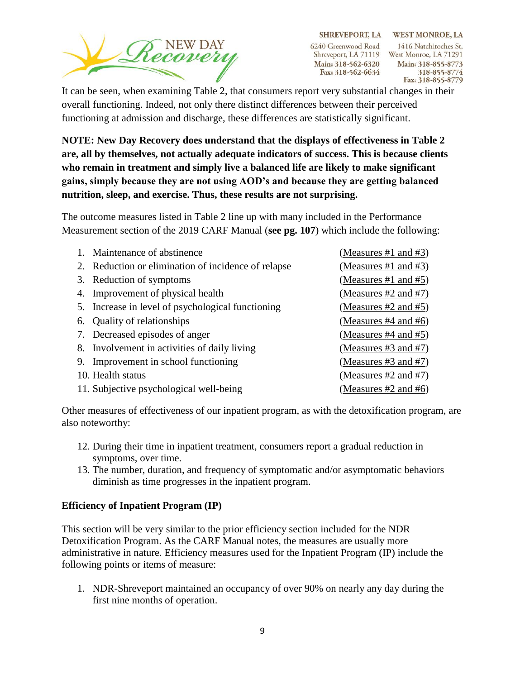

SHREVEPORT, LA WEST MONROE, LA 1416 Natchitoches St. Shreveport, LA 71119 West Monroe, LA 71291 Main: 318-855-8773 318-855-8774 Fax: 318-855-8779

It can be seen, when examining Table 2, that consumers report very substantial changes in their overall functioning. Indeed, not only there distinct differences between their perceived functioning at admission and discharge, these differences are statistically significant.

**NOTE: New Day Recovery does understand that the displays of effectiveness in Table 2 are, all by themselves, not actually adequate indicators of success. This is because clients who remain in treatment and simply live a balanced life are likely to make significant gains, simply because they are not using AOD's and because they are getting balanced nutrition, sleep, and exercise. Thus, these results are not surprising.** 

The outcome measures listed in Table 2 line up with many included in the Performance Measurement section of the 2019 CARF Manual (**see pg. 107**) which include the following:

| 1. Maintenance of abstinence                        | (Measures #1 and #3)      |
|-----------------------------------------------------|---------------------------|
| 2. Reduction or elimination of incidence of relapse | (Measures #1 and #3)      |
| 3. Reduction of symptoms                            | (Measures #1 and #5)      |
| 4. Improvement of physical health                   | (Measures $#2$ and $#7$ ) |
| 5. Increase in level of psychological functioning   | (Measures #2 and #5)      |
| 6. Quality of relationships                         | (Measures $#4$ and $#6$ ) |
| 7. Decreased episodes of anger                      | (Measures $#4$ and $#5$ ) |
| 8. Involvement in activities of daily living        | (Measures #3 and #7)      |
| 9. Improvement in school functioning                | (Measures #3 and #7)      |
| 10. Health status                                   | (Measures #2 and #7)      |
| 11. Subjective psychological well-being             | (Measures #2 and #6)      |

Other measures of effectiveness of our inpatient program, as with the detoxification program, are also noteworthy:

- 12. During their time in inpatient treatment, consumers report a gradual reduction in symptoms, over time.
- 13. The number, duration, and frequency of symptomatic and/or asymptomatic behaviors diminish as time progresses in the inpatient program.

# **Efficiency of Inpatient Program (IP)**

This section will be very similar to the prior efficiency section included for the NDR Detoxification Program. As the CARF Manual notes, the measures are usually more administrative in nature. Efficiency measures used for the Inpatient Program (IP) include the following points or items of measure:

1. NDR-Shreveport maintained an occupancy of over 90% on nearly any day during the first nine months of operation.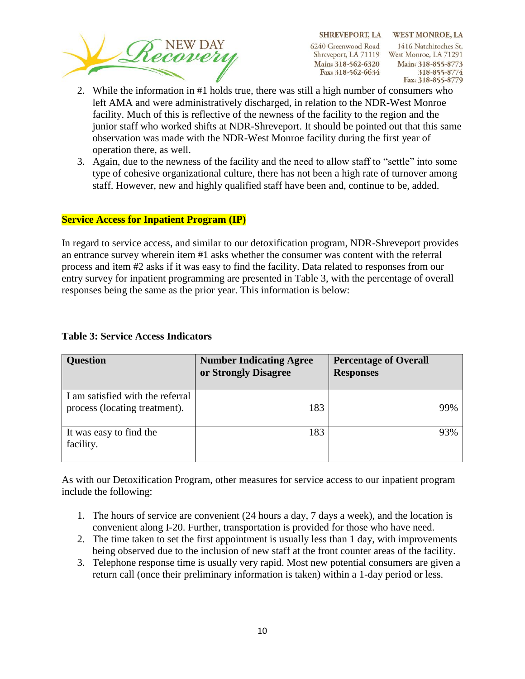

SHREVEPORT, LA WEST MONROE, LA 1416 Natchitoches St. Shreveport, LA 71119 West Monroe, LA 71291 Main: 318-855-8773 318-855-8774 Fax: 318-855-8779

- 2. While the information in #1 holds true, there was still a high number of consumers who left AMA and were administratively discharged, in relation to the NDR-West Monroe facility. Much of this is reflective of the newness of the facility to the region and the junior staff who worked shifts at NDR-Shreveport. It should be pointed out that this same observation was made with the NDR-West Monroe facility during the first year of operation there, as well.
- 3. Again, due to the newness of the facility and the need to allow staff to "settle" into some type of cohesive organizational culture, there has not been a high rate of turnover among staff. However, new and highly qualified staff have been and, continue to be, added.

#### **Service Access for Inpatient Program (IP)**

In regard to service access, and similar to our detoxification program, NDR-Shreveport provides an entrance survey wherein item #1 asks whether the consumer was content with the referral process and item #2 asks if it was easy to find the facility. Data related to responses from our entry survey for inpatient programming are presented in Table 3, with the percentage of overall responses being the same as the prior year. This information is below:

| <b>Question</b>                                                   | <b>Number Indicating Agree</b><br>or Strongly Disagree | <b>Percentage of Overall</b><br><b>Responses</b> |
|-------------------------------------------------------------------|--------------------------------------------------------|--------------------------------------------------|
| I am satisfied with the referral<br>process (locating treatment). | 183                                                    | 99%                                              |
| It was easy to find the<br>facility.                              | 183                                                    | 93%                                              |

#### **Table 3: Service Access Indicators**

As with our Detoxification Program, other measures for service access to our inpatient program include the following:

- 1. The hours of service are convenient (24 hours a day, 7 days a week), and the location is convenient along I-20. Further, transportation is provided for those who have need.
- 2. The time taken to set the first appointment is usually less than 1 day, with improvements being observed due to the inclusion of new staff at the front counter areas of the facility.
- 3. Telephone response time is usually very rapid. Most new potential consumers are given a return call (once their preliminary information is taken) within a 1-day period or less.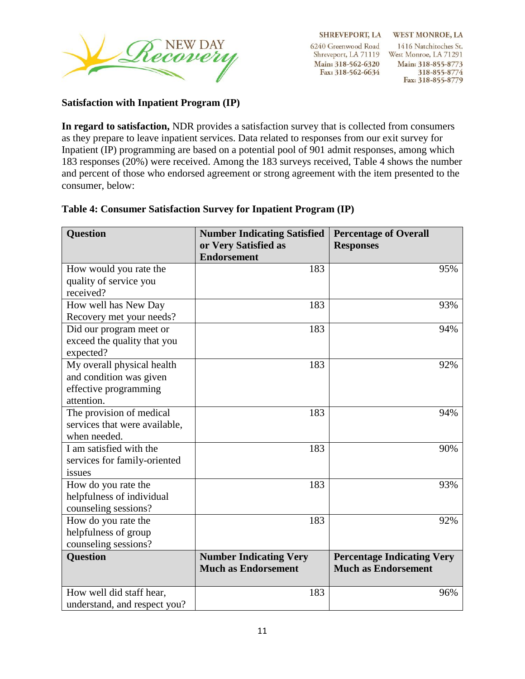

**SHREVEPORT, LA** 6240 Greenwood Road

Main: 318-562-6320 Fax: 318-562-6634

**WEST MONROE, LA** 1416 Natchitoches St. Shreveport, LA 71119 West Monroe, LA 71291 Main: 318-855-8773 318-855-8774 Fax: 318-855-8779

### **Satisfaction with Inpatient Program (IP)**

**In regard to satisfaction,** NDR provides a satisfaction survey that is collected from consumers as they prepare to leave inpatient services. Data related to responses from our exit survey for Inpatient (IP) programming are based on a potential pool of 901 admit responses, among which 183 responses (20%) were received. Among the 183 surveys received, Table 4 shows the number and percent of those who endorsed agreement or strong agreement with the item presented to the consumer, below:

| <b>Question</b>               | <b>Number Indicating Satisfied</b><br>or Very Satisfied as<br><b>Endorsement</b> | <b>Percentage of Overall</b><br><b>Responses</b> |
|-------------------------------|----------------------------------------------------------------------------------|--------------------------------------------------|
| How would you rate the        | 183                                                                              | 95%                                              |
| quality of service you        |                                                                                  |                                                  |
| received?                     |                                                                                  |                                                  |
| How well has New Day          | 183                                                                              | 93%                                              |
| Recovery met your needs?      |                                                                                  |                                                  |
| Did our program meet or       | 183                                                                              | 94%                                              |
| exceed the quality that you   |                                                                                  |                                                  |
| expected?                     |                                                                                  |                                                  |
| My overall physical health    | 183                                                                              | 92%                                              |
| and condition was given       |                                                                                  |                                                  |
| effective programming         |                                                                                  |                                                  |
| attention.                    |                                                                                  |                                                  |
| The provision of medical      | 183                                                                              | 94%                                              |
| services that were available, |                                                                                  |                                                  |
| when needed.                  |                                                                                  |                                                  |
| I am satisfied with the       | 183                                                                              | 90%                                              |
| services for family-oriented  |                                                                                  |                                                  |
| issues                        |                                                                                  |                                                  |
| How do you rate the           | 183                                                                              | 93%                                              |
| helpfulness of individual     |                                                                                  |                                                  |
| counseling sessions?          |                                                                                  |                                                  |
| How do you rate the           | 183                                                                              | 92%                                              |
| helpfulness of group          |                                                                                  |                                                  |
| counseling sessions?          |                                                                                  |                                                  |
| <b>Question</b>               | <b>Number Indicating Very</b>                                                    | <b>Percentage Indicating Very</b>                |
|                               | <b>Much as Endorsement</b>                                                       | <b>Much as Endorsement</b>                       |
|                               |                                                                                  |                                                  |
| How well did staff hear,      | 183                                                                              | 96%                                              |
| understand, and respect you?  |                                                                                  |                                                  |

#### **Table 4: Consumer Satisfaction Survey for Inpatient Program (IP)**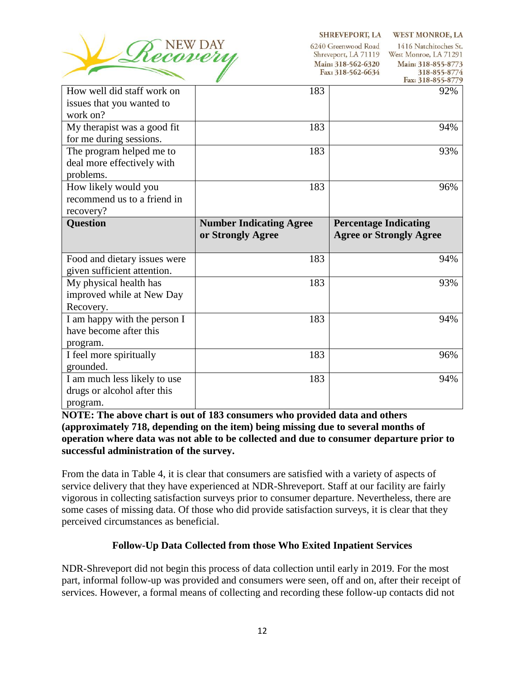

SHREVEPORT, LA WEST MONROE, LA

1416 Natchitoches St. 6240 Greenwood Road Shreveport, LA 71119 West Monroe, LA 71291 Main: 318-562-6320 Main: 318-855-8773 318-855-8774 Fax: 318-562-6634 Fax: 318-855-8770

|                              |                                | $1aA$ , $J10U-JU/7$            |
|------------------------------|--------------------------------|--------------------------------|
| How well did staff work on   | 183                            | 92%                            |
| issues that you wanted to    |                                |                                |
| work on?                     |                                |                                |
| My therapist was a good fit  | 183                            | 94%                            |
| for me during sessions.      |                                |                                |
| The program helped me to     | 183                            | 93%                            |
| deal more effectively with   |                                |                                |
| problems.                    |                                |                                |
| How likely would you         | 183                            | 96%                            |
| recommend us to a friend in  |                                |                                |
| recovery?                    |                                |                                |
| Question                     | <b>Number Indicating Agree</b> | <b>Percentage Indicating</b>   |
|                              | or Strongly Agree              | <b>Agree or Strongly Agree</b> |
|                              |                                |                                |
|                              |                                |                                |
| Food and dietary issues were | 183                            | 94%                            |
| given sufficient attention.  |                                |                                |
| My physical health has       | 183                            | 93%                            |
| improved while at New Day    |                                |                                |
| Recovery.                    |                                |                                |
| I am happy with the person I | 183                            | 94%                            |
| have become after this       |                                |                                |
| program.                     |                                |                                |
| I feel more spiritually      | 183                            | 96%                            |
| grounded.                    |                                |                                |
| I am much less likely to use | 183                            | 94%                            |
| drugs or alcohol after this  |                                |                                |

**NOTE: The above chart is out of 183 consumers who provided data and others (approximately 718, depending on the item) being missing due to several months of operation where data was not able to be collected and due to consumer departure prior to successful administration of the survey.** 

From the data in Table 4, it is clear that consumers are satisfied with a variety of aspects of service delivery that they have experienced at NDR-Shreveport. Staff at our facility are fairly vigorous in collecting satisfaction surveys prior to consumer departure. Nevertheless, there are some cases of missing data. Of those who did provide satisfaction surveys, it is clear that they perceived circumstances as beneficial.

# **Follow-Up Data Collected from those Who Exited Inpatient Services**

NDR-Shreveport did not begin this process of data collection until early in 2019. For the most part, informal follow-up was provided and consumers were seen, off and on, after their receipt of services. However, a formal means of collecting and recording these follow-up contacts did not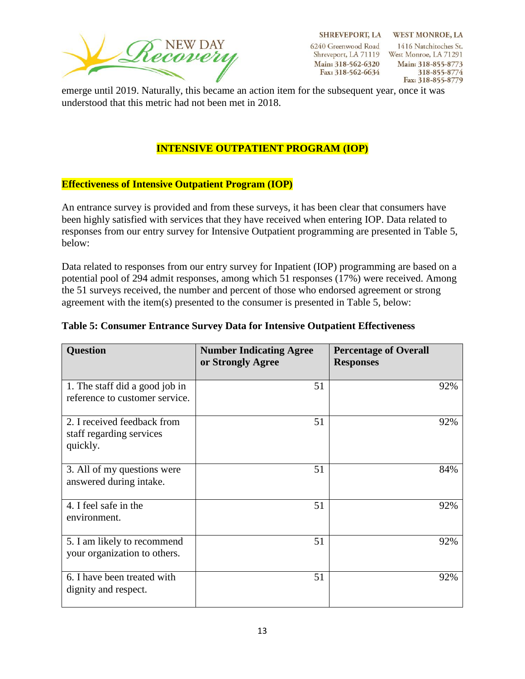

6240 Greenwood Road Shreveport, LA 71119 West Monroe, LA 71291 Main: 318-562-6320 Fax: 318-562-6634

SHREVEPORT, LA WEST MONROE, LA 1416 Natchitoches St. Main: 318-855-8773 318-855-8774 Fax: 318-855-8779

emerge until 2019. Naturally, this became an action item for the subsequent year, once it was understood that this metric had not been met in 2018.

# **INTENSIVE OUTPATIENT PROGRAM (IOP)**

### **Effectiveness of Intensive Outpatient Program (IOP)**

An entrance survey is provided and from these surveys, it has been clear that consumers have been highly satisfied with services that they have received when entering IOP. Data related to responses from our entry survey for Intensive Outpatient programming are presented in Table 5, below:

Data related to responses from our entry survey for Inpatient (IOP) programming are based on a potential pool of 294 admit responses, among which 51 responses (17%) were received. Among the 51 surveys received, the number and percent of those who endorsed agreement or strong agreement with the item(s) presented to the consumer is presented in Table 5, below:

| <b>Question</b>                                                     | <b>Number Indicating Agree</b><br>or Strongly Agree | <b>Percentage of Overall</b><br><b>Responses</b> |
|---------------------------------------------------------------------|-----------------------------------------------------|--------------------------------------------------|
| 1. The staff did a good job in<br>reference to customer service.    | 51                                                  | 92%                                              |
| 2. I received feedback from<br>staff regarding services<br>quickly. | 51                                                  | 92%                                              |
| 3. All of my questions were<br>answered during intake.              | 51                                                  | 84%                                              |
| 4. I feel safe in the<br>environment.                               | 51                                                  | 92%                                              |
| 5. I am likely to recommend<br>your organization to others.         | 51                                                  | 92%                                              |
| 6. I have been treated with<br>dignity and respect.                 | 51                                                  | 92%                                              |

#### **Table 5: Consumer Entrance Survey Data for Intensive Outpatient Effectiveness**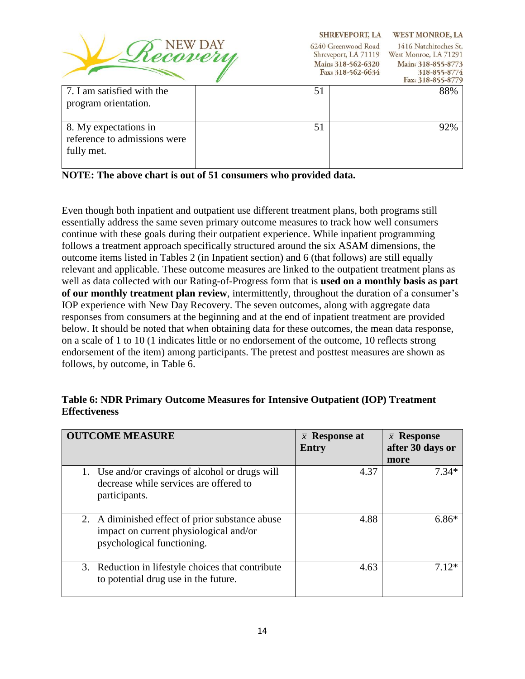| Recovery                                                            |    | <b>SHREVEPORT, LA</b><br>6240 Greenwood Road<br>Shreveport, LA 71119<br>Main: 318-562-6320<br>Fax: 318-562-6634 | <b>WEST MONROE, LA</b><br>1416 Natchitoches St.<br>West Monroe, LA 71291<br>Main: 318-855-8773<br>318-855-8774<br>Fax: 318-855-8779 |
|---------------------------------------------------------------------|----|-----------------------------------------------------------------------------------------------------------------|-------------------------------------------------------------------------------------------------------------------------------------|
| 7. I am satisfied with the<br>program orientation.                  | 51 |                                                                                                                 | 88%                                                                                                                                 |
| 8. My expectations in<br>reference to admissions were<br>fully met. | 51 |                                                                                                                 | 92%                                                                                                                                 |

**NOTE: The above chart is out of 51 consumers who provided data.**

Even though both inpatient and outpatient use different treatment plans, both programs still essentially address the same seven primary outcome measures to track how well consumers continue with these goals during their outpatient experience. While inpatient programming follows a treatment approach specifically structured around the six ASAM dimensions, the outcome items listed in Tables 2 (in Inpatient section) and 6 (that follows) are still equally relevant and applicable. These outcome measures are linked to the outpatient treatment plans as well as data collected with our Rating-of-Progress form that is **used on a monthly basis as part of our monthly treatment plan review**, intermittently, throughout the duration of a consumer's IOP experience with New Day Recovery. The seven outcomes, along with aggregate data responses from consumers at the beginning and at the end of inpatient treatment are provided below. It should be noted that when obtaining data for these outcomes, the mean data response, on a scale of 1 to 10 (1 indicates little or no endorsement of the outcome, 10 reflects strong endorsement of the item) among participants. The pretest and posttest measures are shown as follows, by outcome, in Table 6.

# **Table 6: NDR Primary Outcome Measures for Intensive Outpatient (IOP) Treatment Effectiveness**

| <b>OUTCOME MEASURE</b>                                                                                                  | $\bar{x}$ Response at<br>Entry | $\bar{x}$ Response<br>after 30 days or |
|-------------------------------------------------------------------------------------------------------------------------|--------------------------------|----------------------------------------|
| 1. Use and/or cravings of alcohol or drugs will<br>decrease while services are offered to<br>participants.              | 4.37                           | more<br>$7.34*$                        |
| 2. A diminished effect of prior substance abuse<br>impact on current physiological and/or<br>psychological functioning. | 4.88                           | $6.86*$                                |
| 3. Reduction in lifestyle choices that contribute<br>to potential drug use in the future.                               | 4.63                           | 7 12*                                  |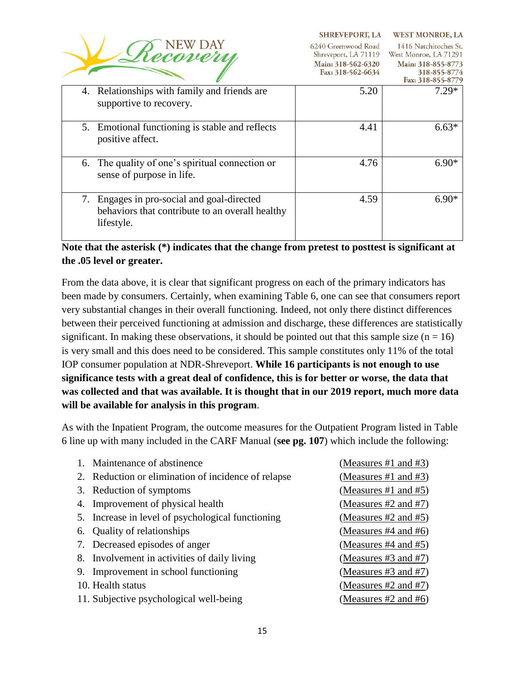|                                                                                                                | <b>SHREVEPORT, LA</b>                                                                  | <b>WEST MONROE, LA</b>                                                                                    |
|----------------------------------------------------------------------------------------------------------------|----------------------------------------------------------------------------------------|-----------------------------------------------------------------------------------------------------------|
|                                                                                                                | 6240 Greenwood Road<br>Shreveport, LA 71119<br>Main: 318-562-6320<br>Fax: 318-562-6634 | 1416 Natchitoches St.<br>West Monroe, LA 71291<br>Main: 318-855-8773<br>318-855-8774<br>Fax: 318-855-8779 |
| Relationships with family and friends are<br>4.<br>supportive to recovery.                                     | 5.20                                                                                   | $7.29*$                                                                                                   |
| 5. Emotional functioning is stable and reflects<br>positive affect.                                            | 4.41                                                                                   | $6.63*$                                                                                                   |
| 6. The quality of one's spiritual connection or<br>sense of purpose in life.                                   | 4.76                                                                                   | $6.90*$                                                                                                   |
| Engages in pro-social and goal-directed<br>7.<br>behaviors that contribute to an overall healthy<br>lifestyle. | 4.59                                                                                   | $6.90*$                                                                                                   |

# **Note that the asterisk (\*) indicates that the change from pretest to posttest is significant at the .05 level or greater.**

From the data above, it is clear that significant progress on each of the primary indicators has been made by consumers. Certainly, when examining Table 6, one can see that consumers report very substantial changes in their overall functioning. Indeed, not only there distinct differences between their perceived functioning at admission and discharge, these differences are statistically significant. In making these observations, it should be pointed out that this sample size  $(n = 16)$ is very small and this does need to be considered. This sample constitutes only 11% of the total IOP consumer population at NDR-Shreveport. **While 16 participants is not enough to use significance tests with a great deal of confidence, this is for better or worse, the data that was collected and that was available. It is thought that in our 2019 report, much more data will be available for analysis in this program**.

As with the Inpatient Program, the outcome measures for the Outpatient Program listed in Table 6 line up with many included in the CARF Manual (**see pg. 107**) which include the following:

| (Measures #1 and #3)                                                                                                                                                                                                                                                                                                                                                                                                               |
|------------------------------------------------------------------------------------------------------------------------------------------------------------------------------------------------------------------------------------------------------------------------------------------------------------------------------------------------------------------------------------------------------------------------------------|
| (Measures #1 and #3)                                                                                                                                                                                                                                                                                                                                                                                                               |
| (Measures #1 and #5)                                                                                                                                                                                                                                                                                                                                                                                                               |
| (Measures $#2$ and $#7$ )                                                                                                                                                                                                                                                                                                                                                                                                          |
| (Measures $#2$ and $#5$ )                                                                                                                                                                                                                                                                                                                                                                                                          |
| (Measures $#4$ and $#6$ )                                                                                                                                                                                                                                                                                                                                                                                                          |
| (Measures $#4$ and $#5$ )                                                                                                                                                                                                                                                                                                                                                                                                          |
| (Measures #3 and #7)                                                                                                                                                                                                                                                                                                                                                                                                               |
| (Measures #3 and #7)                                                                                                                                                                                                                                                                                                                                                                                                               |
| (Measures #2 and #7)                                                                                                                                                                                                                                                                                                                                                                                                               |
| (Measures #2 and #6)                                                                                                                                                                                                                                                                                                                                                                                                               |
| 1. Maintenance of abstinence<br>2. Reduction or elimination of incidence of relapse<br>3. Reduction of symptoms<br>4. Improvement of physical health<br>5. Increase in level of psychological functioning<br>6. Quality of relationships<br>7. Decreased episodes of anger<br>8. Involvement in activities of daily living<br>9. Improvement in school functioning<br>10. Health status<br>11. Subjective psychological well-being |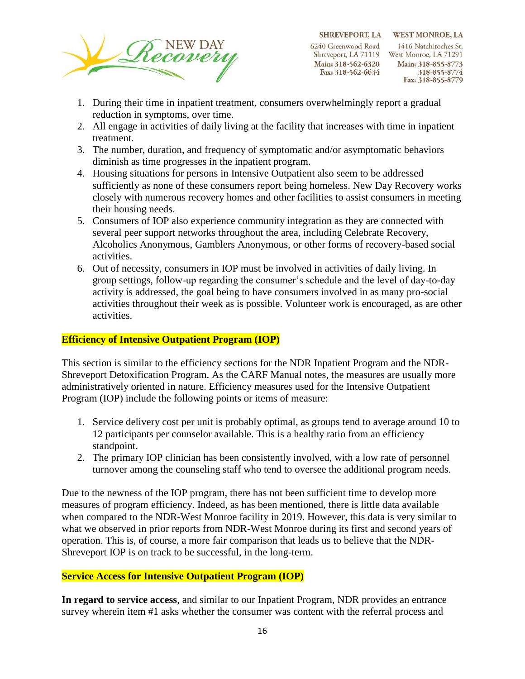

SHREVEPORT, LA WEST MONROE, LA 6240 Greenwood Road

Main: 318-562-6320 Fax: 318-562-6634

1416 Natchitoches St. Shreveport, LA 71119 West Monroe, LA 71291 Main: 318-855-8773 318-855-8774 Fax: 318-855-8779

- 1. During their time in inpatient treatment, consumers overwhelmingly report a gradual reduction in symptoms, over time.
- 2. All engage in activities of daily living at the facility that increases with time in inpatient treatment.
- 3. The number, duration, and frequency of symptomatic and/or asymptomatic behaviors diminish as time progresses in the inpatient program.
- 4. Housing situations for persons in Intensive Outpatient also seem to be addressed sufficiently as none of these consumers report being homeless. New Day Recovery works closely with numerous recovery homes and other facilities to assist consumers in meeting their housing needs.
- 5. Consumers of IOP also experience community integration as they are connected with several peer support networks throughout the area, including Celebrate Recovery, Alcoholics Anonymous, Gamblers Anonymous, or other forms of recovery-based social activities.
- 6. Out of necessity, consumers in IOP must be involved in activities of daily living. In group settings, follow-up regarding the consumer's schedule and the level of day-to-day activity is addressed, the goal being to have consumers involved in as many pro-social activities throughout their week as is possible. Volunteer work is encouraged, as are other activities.

#### **Efficiency of Intensive Outpatient Program (IOP)**

This section is similar to the efficiency sections for the NDR Inpatient Program and the NDR-Shreveport Detoxification Program. As the CARF Manual notes, the measures are usually more administratively oriented in nature. Efficiency measures used for the Intensive Outpatient Program (IOP) include the following points or items of measure:

- 1. Service delivery cost per unit is probably optimal, as groups tend to average around 10 to 12 participants per counselor available. This is a healthy ratio from an efficiency standpoint.
- 2. The primary IOP clinician has been consistently involved, with a low rate of personnel turnover among the counseling staff who tend to oversee the additional program needs.

Due to the newness of the IOP program, there has not been sufficient time to develop more measures of program efficiency. Indeed, as has been mentioned, there is little data available when compared to the NDR-West Monroe facility in 2019. However, this data is very similar to what we observed in prior reports from NDR-West Monroe during its first and second years of operation. This is, of course, a more fair comparison that leads us to believe that the NDR-Shreveport IOP is on track to be successful, in the long-term.

# **Service Access for Intensive Outpatient Program (IOP)**

**In regard to service access**, and similar to our Inpatient Program, NDR provides an entrance survey wherein item #1 asks whether the consumer was content with the referral process and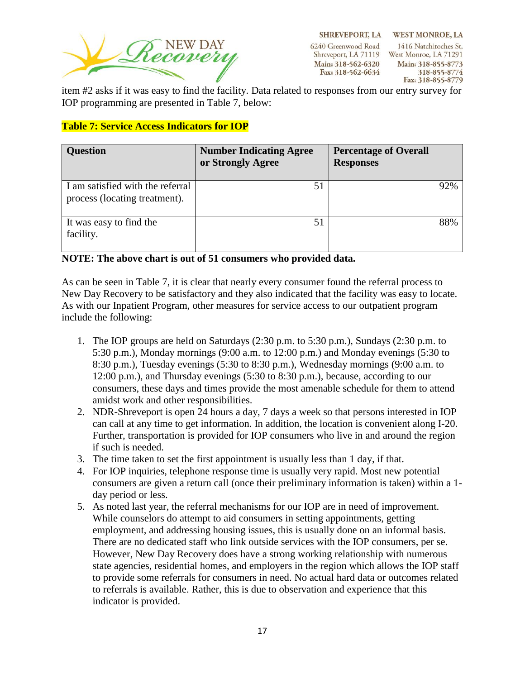

**SHREVEPORT, LA** 6240 Greenwood Road Shreveport, LA 71119 West Monroe, LA 71291 Main: 318-562-6320 Fax: 318-562-6634

**WEST MONROE, LA** 1416 Natchitoches St. Main: 318-855-8773 318-855-8774 Fax: 318-855-8779

item #2 asks if it was easy to find the facility. Data related to responses from our entry survey for IOP programming are presented in Table 7, below:

# **Table 7: Service Access Indicators for IOP**

| <b>Question</b>                                                   | <b>Number Indicating Agree</b><br>or Strongly Agree | <b>Percentage of Overall</b><br><b>Responses</b> |
|-------------------------------------------------------------------|-----------------------------------------------------|--------------------------------------------------|
| I am satisfied with the referral<br>process (locating treatment). | 51                                                  | 92%                                              |
| It was easy to find the<br>facility.                              | 51                                                  | 88%                                              |

#### **NOTE: The above chart is out of 51 consumers who provided data.**

As can be seen in Table 7, it is clear that nearly every consumer found the referral process to New Day Recovery to be satisfactory and they also indicated that the facility was easy to locate. As with our Inpatient Program, other measures for service access to our outpatient program include the following:

- 1. The IOP groups are held on Saturdays (2:30 p.m. to 5:30 p.m.), Sundays (2:30 p.m. to 5:30 p.m.), Monday mornings (9:00 a.m. to 12:00 p.m.) and Monday evenings (5:30 to 8:30 p.m.), Tuesday evenings (5:30 to 8:30 p.m.), Wednesday mornings (9:00 a.m. to 12:00 p.m.), and Thursday evenings (5:30 to 8:30 p.m.), because, according to our consumers, these days and times provide the most amenable schedule for them to attend amidst work and other responsibilities.
- 2. NDR-Shreveport is open 24 hours a day, 7 days a week so that persons interested in IOP can call at any time to get information. In addition, the location is convenient along I-20. Further, transportation is provided for IOP consumers who live in and around the region if such is needed.
- 3. The time taken to set the first appointment is usually less than 1 day, if that.
- 4. For IOP inquiries, telephone response time is usually very rapid. Most new potential consumers are given a return call (once their preliminary information is taken) within a 1 day period or less.
- 5. As noted last year, the referral mechanisms for our IOP are in need of improvement. While counselors do attempt to aid consumers in setting appointments, getting employment, and addressing housing issues, this is usually done on an informal basis. There are no dedicated staff who link outside services with the IOP consumers, per se. However, New Day Recovery does have a strong working relationship with numerous state agencies, residential homes, and employers in the region which allows the IOP staff to provide some referrals for consumers in need. No actual hard data or outcomes related to referrals is available. Rather, this is due to observation and experience that this indicator is provided.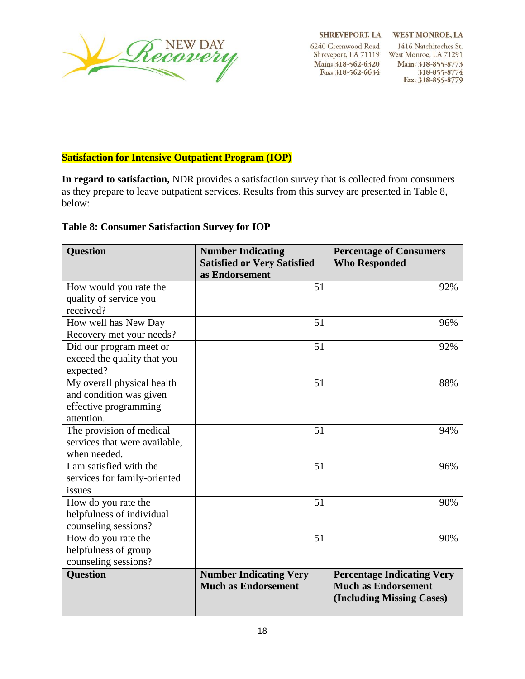

**SHREVEPORT, LA** 

6240 Greenwood Road Shreveport, LA 71119 Main: 318-562-6320 Fax: 318-562-6634

**WEST MONROE, LA** 1416 Natchitoches St. West Monroe, LA 71291 Main: 318-855-8773 318-855-8774 Fax: 318-855-8779

# **Satisfaction for Intensive Outpatient Program (IOP)**

**In regard to satisfaction,** NDR provides a satisfaction survey that is collected from consumers as they prepare to leave outpatient services. Results from this survey are presented in Table 8, below:

# **Table 8: Consumer Satisfaction Survey for IOP**

| <b>Question</b>               | <b>Number Indicating</b><br><b>Satisfied or Very Satisfied</b><br>as Endorsement | <b>Percentage of Consumers</b><br><b>Who Responded</b>                                       |
|-------------------------------|----------------------------------------------------------------------------------|----------------------------------------------------------------------------------------------|
| How would you rate the        | 51                                                                               | 92%                                                                                          |
| quality of service you        |                                                                                  |                                                                                              |
| received?                     |                                                                                  |                                                                                              |
| How well has New Day          | 51                                                                               | 96%                                                                                          |
| Recovery met your needs?      |                                                                                  |                                                                                              |
| Did our program meet or       | 51                                                                               | 92%                                                                                          |
| exceed the quality that you   |                                                                                  |                                                                                              |
| expected?                     |                                                                                  |                                                                                              |
| My overall physical health    | 51                                                                               | 88%                                                                                          |
| and condition was given       |                                                                                  |                                                                                              |
| effective programming         |                                                                                  |                                                                                              |
| attention.                    |                                                                                  |                                                                                              |
| The provision of medical      | 51                                                                               | 94%                                                                                          |
| services that were available, |                                                                                  |                                                                                              |
| when needed.                  |                                                                                  |                                                                                              |
| I am satisfied with the       | 51                                                                               | 96%                                                                                          |
| services for family-oriented  |                                                                                  |                                                                                              |
| issues                        |                                                                                  |                                                                                              |
| How do you rate the           | 51                                                                               | 90%                                                                                          |
| helpfulness of individual     |                                                                                  |                                                                                              |
| counseling sessions?          |                                                                                  |                                                                                              |
| How do you rate the           | 51                                                                               | 90%                                                                                          |
| helpfulness of group          |                                                                                  |                                                                                              |
| counseling sessions?          |                                                                                  |                                                                                              |
| <b>Question</b>               | <b>Number Indicating Very</b><br><b>Much as Endorsement</b>                      | <b>Percentage Indicating Very</b><br><b>Much as Endorsement</b><br>(Including Missing Cases) |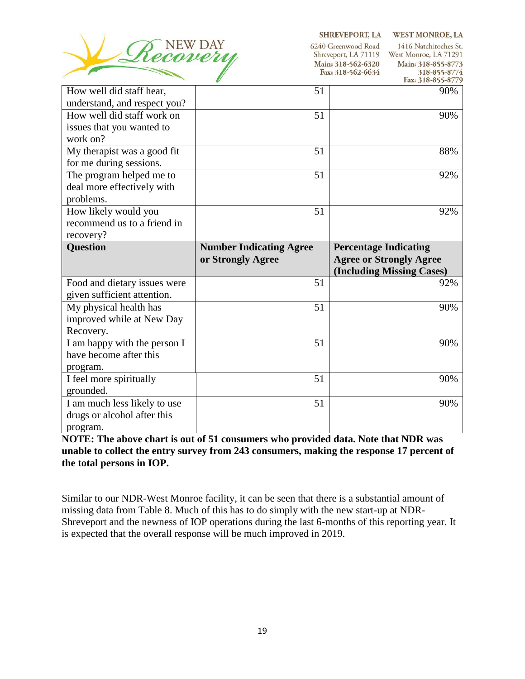

SHREVEPORT, LA WEST MONROE, LA

| Seconory                                                                                        | NEW DAY                                             | 6240 Greenwood Road<br>1416 Natchitoches St.<br>Shreveport, LA 71119<br>West Monroe, LA 71291<br>Main: 318-562-6320<br>Main: 318-855-8773<br>Fax: 318-562-6634<br>318-855-8774<br>Fax: 318-855-8779 |  |  |  |
|-------------------------------------------------------------------------------------------------|-----------------------------------------------------|-----------------------------------------------------------------------------------------------------------------------------------------------------------------------------------------------------|--|--|--|
| How well did staff hear,<br>understand, and respect you?                                        | 51                                                  | 90%                                                                                                                                                                                                 |  |  |  |
| How well did staff work on<br>issues that you wanted to<br>work on?                             | 51                                                  | 90%                                                                                                                                                                                                 |  |  |  |
| My therapist was a good fit<br>for me during sessions.                                          | 51                                                  | 88%                                                                                                                                                                                                 |  |  |  |
| The program helped me to<br>deal more effectively with<br>problems.                             | 51                                                  | 92%                                                                                                                                                                                                 |  |  |  |
| How likely would you<br>recommend us to a friend in<br>recovery?                                | 51                                                  | 92%                                                                                                                                                                                                 |  |  |  |
|                                                                                                 |                                                     |                                                                                                                                                                                                     |  |  |  |
| <b>Question</b>                                                                                 | <b>Number Indicating Agree</b><br>or Strongly Agree | <b>Percentage Indicating</b><br><b>Agree or Strongly Agree</b><br>(Including Missing Cases)                                                                                                         |  |  |  |
| Food and dietary issues were                                                                    | 51                                                  | 92%                                                                                                                                                                                                 |  |  |  |
| given sufficient attention.<br>My physical health has<br>improved while at New Day<br>Recovery. | 51                                                  | 90%                                                                                                                                                                                                 |  |  |  |
| I am happy with the person I<br>have become after this                                          | 51                                                  | 90%                                                                                                                                                                                                 |  |  |  |
| program.<br>I feel more spiritually<br>grounded.                                                | 51                                                  | 90%                                                                                                                                                                                                 |  |  |  |

**NOTE: The above chart is out of 51 consumers who provided data. Note that NDR was unable to collect the entry survey from 243 consumers, making the response 17 percent of the total persons in IOP.** 

Similar to our NDR-West Monroe facility, it can be seen that there is a substantial amount of missing data from Table 8. Much of this has to do simply with the new start-up at NDR-Shreveport and the newness of IOP operations during the last 6-months of this reporting year. It is expected that the overall response will be much improved in 2019.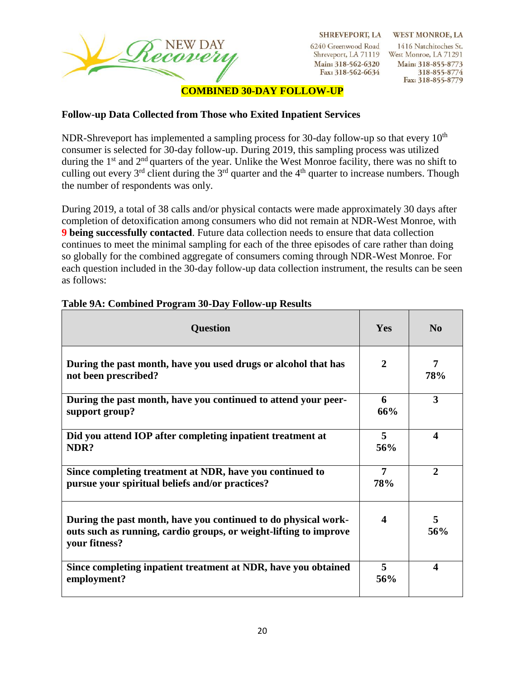

**SHREVEPORT, LA** 6240 Greenwood Road

Shreveport, LA 71119 Main: 318-562-6320 Fax: 318-562-6634

**WEST MONROE, LA** 1416 Natchitoches St. West Monroe, LA 71291 Main: 318-855-8773 318-855-8774 Fax: 318-855-8779

### **COMBINED 30-DAY FOLLOW-UP**

### **Follow-up Data Collected from Those who Exited Inpatient Services**

NDR-Shreveport has implemented a sampling process for 30-day follow-up so that every  $10<sup>th</sup>$ consumer is selected for 30-day follow-up. During 2019, this sampling process was utilized during the  $1<sup>st</sup>$  and  $2<sup>nd</sup>$  quarters of the year. Unlike the West Monroe facility, there was no shift to culling out every  $3^{rd}$  client during the  $3^{rd}$  quarter and the  $4^{th}$  quarter to increase numbers. Though the number of respondents was only.

During 2019, a total of 38 calls and/or physical contacts were made approximately 30 days after completion of detoxification among consumers who did not remain at NDR-West Monroe, with **9 being successfully contacted**. Future data collection needs to ensure that data collection continues to meet the minimal sampling for each of the three episodes of care rather than doing so globally for the combined aggregate of consumers coming through NDR-West Monroe. For each question included in the 30-day follow-up data collection instrument, the results can be seen as follows:

| <b>Question</b>                                                                                                                                      | Yes                   | N <sub>0</sub>        |  |
|------------------------------------------------------------------------------------------------------------------------------------------------------|-----------------------|-----------------------|--|
| During the past month, have you used drugs or alcohol that has<br>not been prescribed?                                                               | $\mathbf{2}$          | 7<br>78%              |  |
| During the past month, have you continued to attend your peer-<br>support group?                                                                     | 6<br>66%              | 3                     |  |
| Did you attend IOP after completing inpatient treatment at<br>NDR?                                                                                   | 5<br>56%              | $\boldsymbol{\Delta}$ |  |
| Since completing treatment at NDR, have you continued to<br>pursue your spiritual beliefs and/or practices?                                          | $\overline{7}$<br>78% | $\mathbf{2}$          |  |
| During the past month, have you continued to do physical work-<br>outs such as running, cardio groups, or weight-lifting to improve<br>your fitness? | $\boldsymbol{\Delta}$ | 5<br>56%              |  |
| Since completing inpatient treatment at NDR, have you obtained<br>employment?                                                                        | 5<br>56%              | $\boldsymbol{\Delta}$ |  |

#### **Table 9A: Combined Program 30-Day Follow-up Results**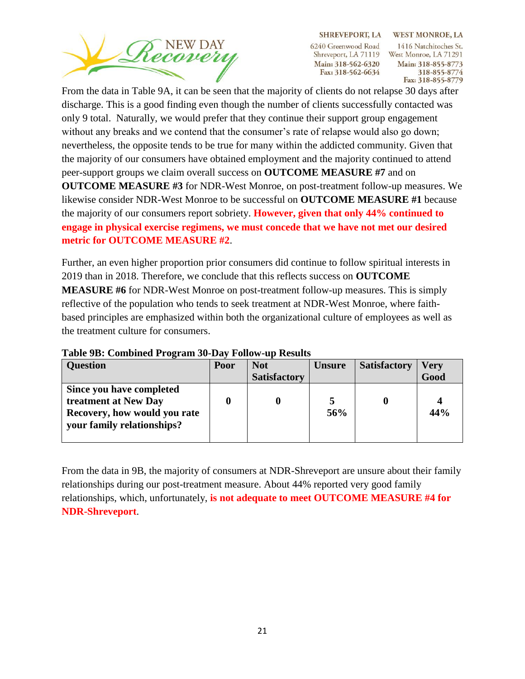

SHREVEPORT, LA WEST MONROE, LA 6240 Greenwood Road

Main: 318-562-6320 Fax: 318-562-6634

1416 Natchitoches St. Shreveport, LA 71119 West Monroe, LA 71291 Main: 318-855-8773 318-855-8774 Fax: 318-855-8779

From the data in Table 9A, it can be seen that the majority of clients do not relapse 30 days after discharge. This is a good finding even though the number of clients successfully contacted was only 9 total. Naturally, we would prefer that they continue their support group engagement without any breaks and we contend that the consumer's rate of relapse would also go down; nevertheless, the opposite tends to be true for many within the addicted community. Given that the majority of our consumers have obtained employment and the majority continued to attend peer-support groups we claim overall success on **OUTCOME MEASURE #7** and on **OUTCOME MEASURE #3** for NDR-West Monroe, on post-treatment follow-up measures. We likewise consider NDR-West Monroe to be successful on **OUTCOME MEASURE #1** because the majority of our consumers report sobriety. **However, given that only 44% continued to engage in physical exercise regimens, we must concede that we have not met our desired metric for OUTCOME MEASURE #2**.

Further, an even higher proportion prior consumers did continue to follow spiritual interests in 2019 than in 2018. Therefore, we conclude that this reflects success on **OUTCOME MEASURE #6** for NDR-West Monroe on post-treatment follow-up measures. This is simply reflective of the population who tends to seek treatment at NDR-West Monroe, where faithbased principles are emphasized within both the organizational culture of employees as well as the treatment culture for consumers.

| <b>Question</b>                                                                                                | Poor | <b>Not</b>          | <b>Unsure</b> | <b>Satisfactory</b> | <b>Very</b> |
|----------------------------------------------------------------------------------------------------------------|------|---------------------|---------------|---------------------|-------------|
|                                                                                                                |      | <b>Satisfactory</b> |               |                     | Good        |
| Since you have completed<br>treatment at New Day<br>Recovery, how would you rate<br>your family relationships? |      |                     | 56%           |                     | 44%         |

#### **Table 9B: Combined Program 30-Day Follow-up Results**

From the data in 9B, the majority of consumers at NDR-Shreveport are unsure about their family relationships during our post-treatment measure. About 44% reported very good family relationships, which, unfortunately, **is not adequate to meet OUTCOME MEASURE #4 for NDR-Shreveport**.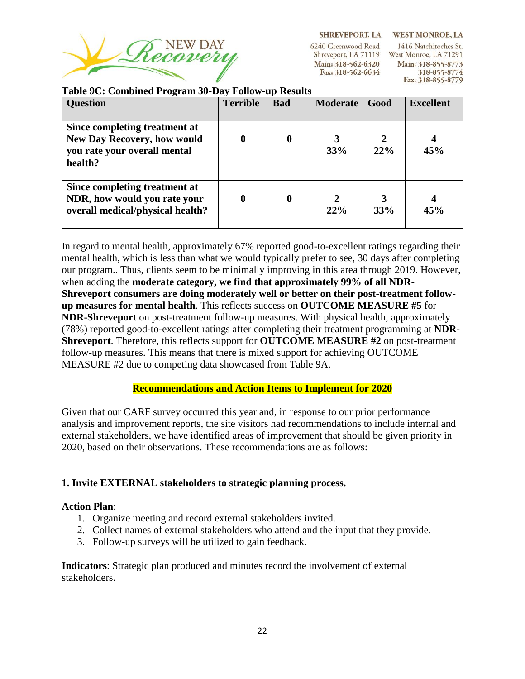

**SHREVEPORT, LA WEST MONROE, LA** 

6240 Greenwood Road Main: 318-562-6320 Fax: 318-562-6634

1416 Natchitoches St. Shreveport, LA 71119 West Monroe, LA 71291 Main: 318-855-8773 318-855-8774 Fax: 318-855-8779

#### **Table 9C: Combined Program 30-Day Follow-up Results**

| <b>Question</b>                                                                                                | <b>Terrible</b> | <b>Bad</b> | <b>Moderate</b> | Good | <b>Excellent</b> |
|----------------------------------------------------------------------------------------------------------------|-----------------|------------|-----------------|------|------------------|
| Since completing treatment at<br><b>New Day Recovery, how would</b><br>you rate your overall mental<br>health? |                 | 0          | 33%             | 22%  | 45%              |
| Since completing treatment at<br>NDR, how would you rate your<br>overall medical/physical health?              |                 | 0          | 22%             | 33%  | 45%              |

In regard to mental health, approximately 67% reported good-to-excellent ratings regarding their mental health, which is less than what we would typically prefer to see, 30 days after completing our program.. Thus, clients seem to be minimally improving in this area through 2019. However, when adding the **moderate category, we find that approximately 99% of all NDR-Shreveport consumers are doing moderately well or better on their post-treatment followup measures for mental health**. This reflects success on **OUTCOME MEASURE #5** for **NDR-Shreveport** on post-treatment follow-up measures. With physical health, approximately (78%) reported good-to-excellent ratings after completing their treatment programming at **NDR-Shreveport**. Therefore, this reflects support for **OUTCOME MEASURE #2** on post-treatment follow-up measures. This means that there is mixed support for achieving OUTCOME MEASURE #2 due to competing data showcased from Table 9A.

# **Recommendations and Action Items to Implement for 2020**

Given that our CARF survey occurred this year and, in response to our prior performance analysis and improvement reports, the site visitors had recommendations to include internal and external stakeholders, we have identified areas of improvement that should be given priority in 2020, based on their observations. These recommendations are as follows:

# **1. Invite EXTERNAL stakeholders to strategic planning process.**

# **Action Plan**:

- 1. Organize meeting and record external stakeholders invited.
- 2. Collect names of external stakeholders who attend and the input that they provide.
- 3. Follow-up surveys will be utilized to gain feedback.

**Indicators**: Strategic plan produced and minutes record the involvement of external stakeholders.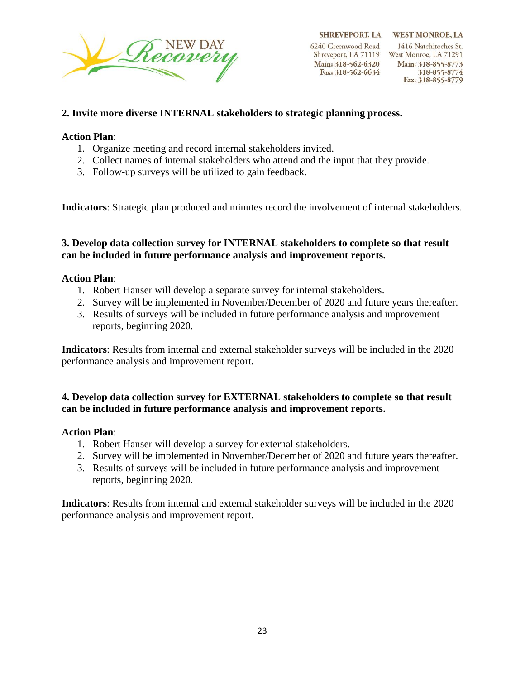

6240 Greenwood Road Shreveport, LA 71119 West Monroe, LA 71291 Main: 318-562-6320 Fax: 318-562-6634

Fax: 318-855-8779

### **2. Invite more diverse INTERNAL stakeholders to strategic planning process.**

### **Action Plan**:

- 1. Organize meeting and record internal stakeholders invited.
- 2. Collect names of internal stakeholders who attend and the input that they provide.
- 3. Follow-up surveys will be utilized to gain feedback.

**Indicators**: Strategic plan produced and minutes record the involvement of internal stakeholders.

#### **3. Develop data collection survey for INTERNAL stakeholders to complete so that result can be included in future performance analysis and improvement reports.**

### **Action Plan**:

- 1. Robert Hanser will develop a separate survey for internal stakeholders.
- 2. Survey will be implemented in November/December of 2020 and future years thereafter.
- 3. Results of surveys will be included in future performance analysis and improvement reports, beginning 2020.

**Indicators**: Results from internal and external stakeholder surveys will be included in the 2020 performance analysis and improvement report.

# **4. Develop data collection survey for EXTERNAL stakeholders to complete so that result can be included in future performance analysis and improvement reports.**

#### **Action Plan**:

- 1. Robert Hanser will develop a survey for external stakeholders.
- 2. Survey will be implemented in November/December of 2020 and future years thereafter.
- 3. Results of surveys will be included in future performance analysis and improvement reports, beginning 2020.

**Indicators**: Results from internal and external stakeholder surveys will be included in the 2020 performance analysis and improvement report.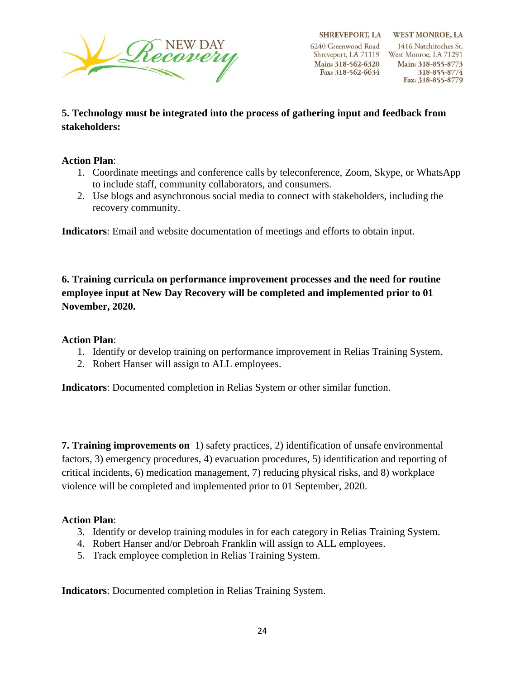

# **5. Technology must be integrated into the process of gathering input and feedback from stakeholders:**

# **Action Plan**:

- 1. Coordinate meetings and conference calls by teleconference, Zoom, Skype, or WhatsApp to include staff, community collaborators, and consumers.
- 2. Use blogs and asynchronous social media to connect with stakeholders, including the recovery community.

**Indicators**: Email and website documentation of meetings and efforts to obtain input.

**6. Training curricula on performance improvement processes and the need for routine employee input at New Day Recovery will be completed and implemented prior to 01 November, 2020.**

# **Action Plan**:

- 1. Identify or develop training on performance improvement in Relias Training System.
- 2. Robert Hanser will assign to ALL employees.

**Indicators**: Documented completion in Relias System or other similar function.

**7. Training improvements on** 1) safety practices, 2) identification of unsafe environmental factors, 3) emergency procedures, 4) evacuation procedures, 5) identification and reporting of critical incidents, 6) medication management, 7) reducing physical risks, and 8) workplace violence will be completed and implemented prior to 01 September, 2020.

# **Action Plan**:

- 3. Identify or develop training modules in for each category in Relias Training System.
- 4. Robert Hanser and/or Debroah Franklin will assign to ALL employees.
- 5. Track employee completion in Relias Training System.

**Indicators**: Documented completion in Relias Training System.